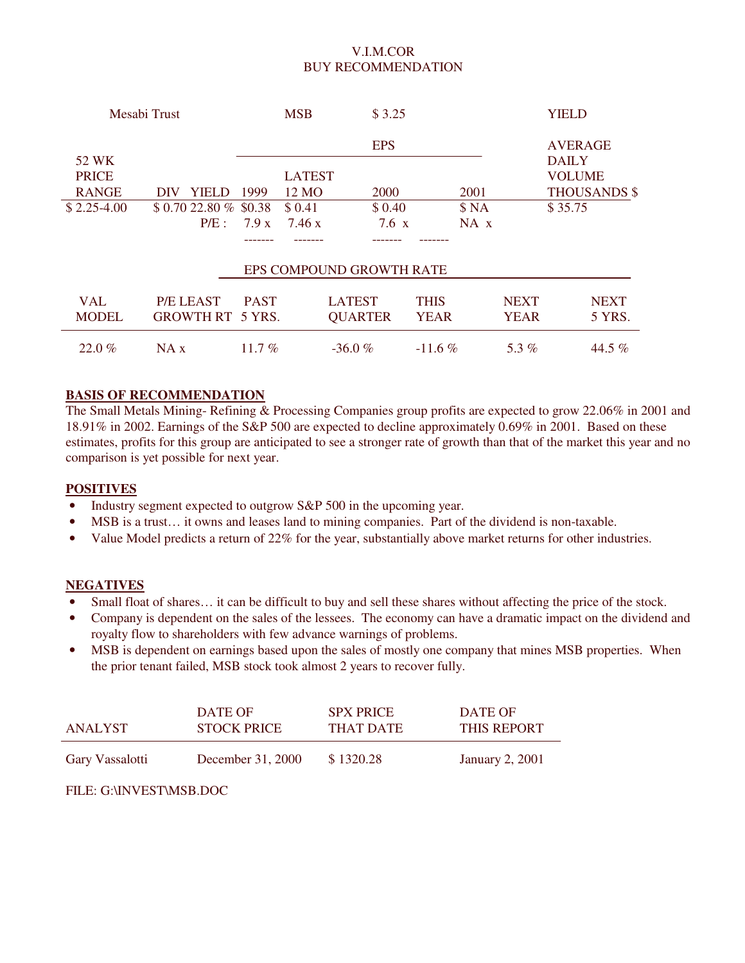## V.I.M.COR BUY RECOMMENDATION

|              | Mesabi Trust            |             | <b>MSB</b>    | \$3.25                   |             |             |             | <b>YIELD</b>        |
|--------------|-------------------------|-------------|---------------|--------------------------|-------------|-------------|-------------|---------------------|
|              |                         |             |               | <b>EPS</b>               |             |             |             | <b>AVERAGE</b>      |
| 52 WK        |                         |             |               |                          |             |             |             | <b>DAILY</b>        |
| <b>PRICE</b> |                         |             | <b>LATEST</b> |                          |             |             |             | <b>VOLUME</b>       |
| <b>RANGE</b> | <b>YIELD</b><br>DIV     | 1999        | 12 MO         | 2000                     |             | 2001        |             | <b>THOUSANDS \$</b> |
| $$2.25-4.00$ | $$0.7022.80\%$ \$0.38   |             | \$0.41        | \$0.40                   |             | \$NA        |             | \$35.75             |
|              | $P/E$ :                 | 7.9 x       | 7.46 x        | $7.6\text{ x}$           |             | $NA \times$ |             |                     |
|              |                         |             |               |                          |             |             |             |                     |
|              |                         |             |               | EPS COMPOUND GROWTH RATE |             |             |             |                     |
| <b>VAL</b>   | P/E LEAST               | <b>PAST</b> |               | <b>LATEST</b>            | <b>THIS</b> |             | <b>NEXT</b> | <b>NEXT</b>         |
| <b>MODEL</b> | <b>GROWTH RT 5 YRS.</b> |             |               | <b>QUARTER</b>           | <b>YEAR</b> |             | <b>YEAR</b> | 5 YRS.              |
| 22.0%        | NA x                    | 11.7 $%$    |               | $-36.0%$                 | $-11.6\%$   |             | 5.3 $%$     | 44.5 %              |

### **BASIS OF RECOMMENDATION**

The Small Metals Mining- Refining & Processing Companies group profits are expected to grow 22.06% in 2001 and 18.91% in 2002. Earnings of the S&P 500 are expected to decline approximately 0.69% in 2001. Based on these estimates, profits for this group are anticipated to see a stronger rate of growth than that of the market this year and no comparison is yet possible for next year.

## **POSITIVES**

- Industry segment expected to outgrow S&P 500 in the upcoming year.
- MSB is a trust… it owns and leases land to mining companies. Part of the dividend is non-taxable.
- Value Model predicts a return of 22% for the year, substantially above market returns for other industries.

#### **NEGATIVES**

- Small float of shares… it can be difficult to buy and sell these shares without affecting the price of the stock.
- Company is dependent on the sales of the lessees. The economy can have a dramatic impact on the dividend and royalty flow to shareholders with few advance warnings of problems.
- MSB is dependent on earnings based upon the sales of mostly one company that mines MSB properties. When the prior tenant failed, MSB stock took almost 2 years to recover fully.

| ANALYST         | DATE OF            | <b>SPX PRICE</b> | DATE OF                |
|-----------------|--------------------|------------------|------------------------|
|                 | <b>STOCK PRICE</b> | THAT DATE        | THIS REPORT            |
| Gary Vassalotti | December 31, 2000  | \$1320.28        | <b>January 2, 2001</b> |

## FILE: G:\INVEST\MSB.DOC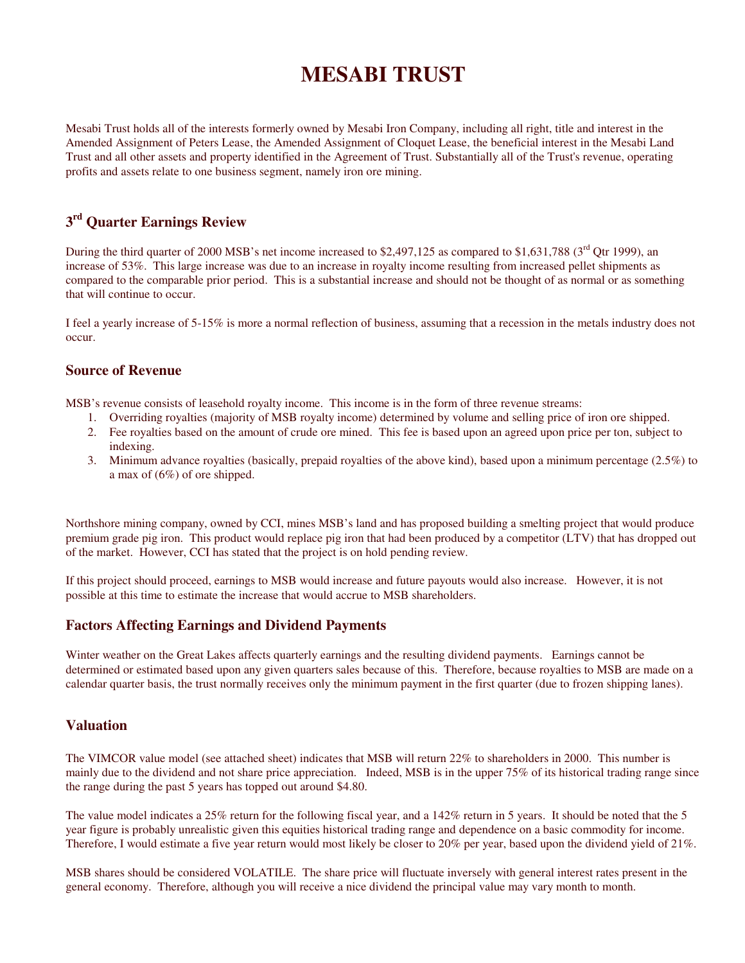# **MESABI TRUST**

Mesabi Trust holds all of the interests formerly owned by Mesabi Iron Company, including all right, title and interest in the Amended Assignment of Peters Lease, the Amended Assignment of Cloquet Lease, the beneficial interest in the Mesabi Land Trust and all other assets and property identified in the Agreement of Trust. Substantially all of the Trust's revenue, operating profits and assets relate to one business segment, namely iron ore mining.

## **3 rd Quarter Earnings Review**

During the third quarter of 2000 MSB's net income increased to \$2,497,125 as compared to \$1,631,788 ( $3<sup>rd</sup>$  Qtr 1999), an increase of 53%. This large increase was due to an increase in royalty income resulting from increased pellet shipments as compared to the comparable prior period. This is a substantial increase and should not be thought of as normal or as something that will continue to occur.

I feel a yearly increase of 5-15% is more a normal reflection of business, assuming that a recession in the metals industry does not occur.

## **Source of Revenue**

MSB's revenue consists of leasehold royalty income. This income is in the form of three revenue streams:

- 1. Overriding royalties (majority of MSB royalty income) determined by volume and selling price of iron ore shipped.
- 2. Fee royalties based on the amount of crude ore mined. This fee is based upon an agreed upon price per ton, subject to indexing.
- 3. Minimum advance royalties (basically, prepaid royalties of the above kind), based upon a minimum percentage (2.5%) to a max of (6%) of ore shipped.

Northshore mining company, owned by CCI, mines MSB's land and has proposed building a smelting project that would produce premium grade pig iron. This product would replace pig iron that had been produced by a competitor (LTV) that has dropped out of the market. However, CCI has stated that the project is on hold pending review.

If this project should proceed, earnings to MSB would increase and future payouts would also increase. However, it is not possible at this time to estimate the increase that would accrue to MSB shareholders.

## **Factors Affecting Earnings and Dividend Payments**

Winter weather on the Great Lakes affects quarterly earnings and the resulting dividend payments. Earnings cannot be determined or estimated based upon any given quarters sales because of this. Therefore, because royalties to MSB are made on a calendar quarter basis, the trust normally receives only the minimum payment in the first quarter (due to frozen shipping lanes).

## **Valuation**

The VIMCOR value model (see attached sheet) indicates that MSB will return 22% to shareholders in 2000. This number is mainly due to the dividend and not share price appreciation. Indeed, MSB is in the upper 75% of its historical trading range since the range during the past 5 years has topped out around \$4.80.

The value model indicates a 25% return for the following fiscal year, and a 142% return in 5 years. It should be noted that the 5 year figure is probably unrealistic given this equities historical trading range and dependence on a basic commodity for income. Therefore, I would estimate a five year return would most likely be closer to 20% per year, based upon the dividend yield of 21%.

MSB shares should be considered VOLATILE. The share price will fluctuate inversely with general interest rates present in the general economy. Therefore, although you will receive a nice dividend the principal value may vary month to month.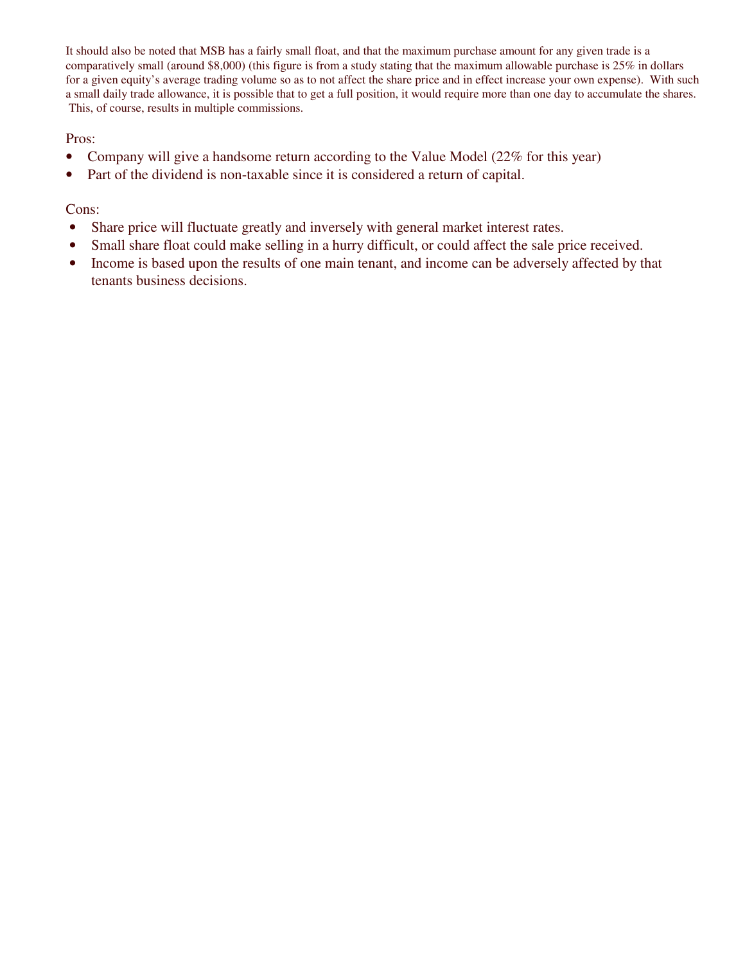It should also be noted that MSB has a fairly small float, and that the maximum purchase amount for any given trade is a comparatively small (around \$8,000) (this figure is from a study stating that the maximum allowable purchase is 25% in dollars for a given equity's average trading volume so as to not affect the share price and in effect increase your own expense). With such a small daily trade allowance, it is possible that to get a full position, it would require more than one day to accumulate the shares. This, of course, results in multiple commissions.

Pros:

- Company will give a handsome return according to the Value Model (22% for this year)
- Part of the dividend is non-taxable since it is considered a return of capital.

## Cons:

- Share price will fluctuate greatly and inversely with general market interest rates.
- Small share float could make selling in a hurry difficult, or could affect the sale price received.
- Income is based upon the results of one main tenant, and income can be adversely affected by that tenants business decisions.